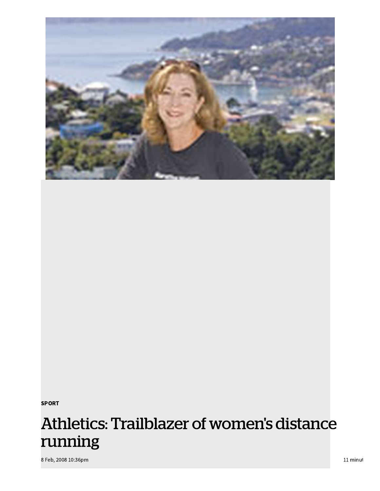

sport in the second state of the second state of the second state  $\mathcal{L}_\text{max}$ 

# Athletics: Trailblazer of women's distance running

8 Feb, 2008 10:36pm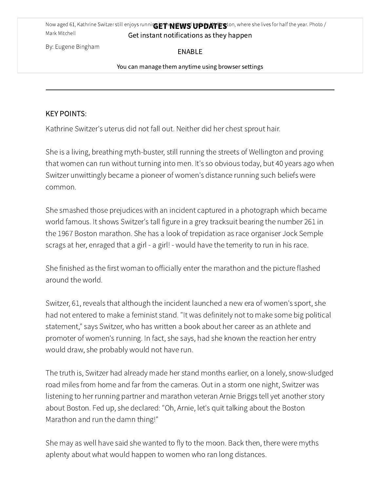Now aged 61, Kathrine Switzer still enjoys running **ET NEWS UPDATES**ton, where she lives for half the year. Photo / Mark Mitchell Get instant notifications as they happen

By: Eugene Bingham

ENABLE

You can manage them anytime using browser settings

# KEY POINTS:

Kathrine Switzer's uterus did not fall out. Neither did her chest sprout hair.

She is a living, breathing myth-buster, still running the streets of Wellington and proving that women can run without turning into men. It's so obvious today, but 40 years ago when Switzer unwittingly became a pioneer of women's distance running such beliefs were common.

She smashed those prejudices with an incident captured in a photograph which became world famous. It shows Switzer's tall figure in a grey tracksuit bearing the number 261 in the 1967 Boston marathon. She has a look of trepidation as race organiser Jock Semple scrags at her, enraged that a girl - a girl! - would have the temerity to run in his race.

She finished as the first woman to officially enter the marathon and the picture flashed around the world.

Switzer, 61, reveals that although the incident launched a new era of women's sport, she had not entered to make a feminist stand. "It was definitely not to make some big political statement," says Switzer, who has written a book about her career as an athlete and promoter of women's running. In fact, she says, had she known the reaction her entry would draw, she probably would not have run.

The truth is, Switzer had already made her stand months earlier, on a lonely, snow-sludged road miles from home and far from the cameras. Out in a storm one night, Switzer was listening to her running partner and marathon veteran Arnie Briggs tell yet another story about Boston. Fed up, she declared: "Oh, Arnie, let's quit talking about the Boston Marathon and run the damn thing!"

She may as well have said she wanted to fly to the moon. Back then, there were myths aplenty about what would happen to women who ran long distances.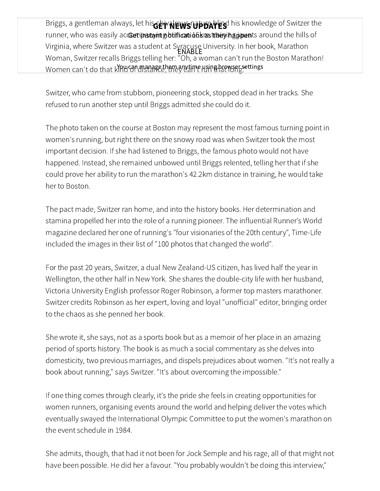Briggs, a gentleman always, let his chival rews of black his knowledge of Switzer the runner, who was easily acceripstant gotificationst as they happents around the hills of Virginia, where Switzer was a student at Syracuse University. In her book, Marathon Woman, Switzer recalls Briggs telling her: "Oh, a woman can't run the Boston Marathon! Women can't do that kYPU on manage them anytime using browser settings ENABLE

Switzer, who came from stubborn, pioneering stock, stopped dead in her tracks. She refused to run another step until Briggs admitted she could do it.

The photo taken on the course at Boston may represent the most famous turning point in women's running, but right there on the snowy road was when Switzer took the most important decision. If she had listened to Briggs, the famous photo would not have happened. Instead, she remained unbowed until Briggs relented, telling her that if she could prove her ability to run the marathon's 42.2km distance in training, he would take her to Boston.

The pact made, Switzer ran home, and into the history books. Her determination and stamina propelled her into the role of a running pioneer. The influential Runner's World magazine declared her one of running's "four visionaries of the 20th century", Time-Life included the images in their list of "100 photos that changed the world".

For the past 20 years, Switzer, a dual New Zealand-US citizen, has lived half the year in Wellington, the other half in New York. She shares the double-city life with her husband, Victoria University English professor Roger Robinson, a former top masters marathoner. Switzer credits Robinson as her expert, loving and loyal "unofficial" editor, bringing order to the chaos as she penned her book.

She wrote it, she says, not as a sports book but as a memoir of her place in an amazing period of sports history. The book is as much a social commentary as she delves into domesticity, two previous marriages, and dispels prejudices about women. "It's not really a book about running," says Switzer. "It's about overcoming the impossible."

If one thing comes through clearly, it's the pride she feels in creating opportunities for women runners, organising events around the world and helping deliver the votes which eventually swayed the International Olympic Committee to put the women's marathon on the event schedule in 1984.

She admits, though, that had it not been for Jock Semple and his rage, all of that might not have been possible. He did her a favour. "You probably wouldn't be doing this interview,"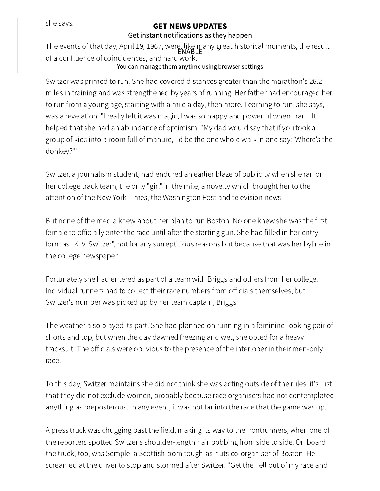she says.

# GET NEWS UPDATES

#### Get instant notifications as they happen

The events of that day, April 19, 1967, were, like many great historical moments, the result of a confluence of coincidences, and hard work. ENABLE

## You can manage them anytime using browser settings

Switzer was primed to run. She had covered distances greater than the marathon's 26.2 miles in training and was strengthened by years of running. Her father had encouraged her to run from a young age, starting with a mile a day, then more. Learning to run, she says, was a revelation. "I really felt it was magic, I was so happy and powerful when I ran." It helped that she had an abundance of optimism. "My dad would say that if you took a group of kids into a room full of manure, I'd be the one who'd walk in and say: 'Where's the donkey?"'

Switzer, a journalism student, had endured an earlier blaze of publicity when she ran on her college track team, the only "girl" in the mile, a novelty which brought her to the attention of the New York Times, the Washington Post and television news.

But none of the media knew about her plan to run Boston. No one knew she was the first female to officially enter the race until after the starting gun. She had filled in her entry form as "K. V. Switzer", not for any surreptitious reasons but because that was her byline in the college newspaper.

Fortunately she had entered as part of a team with Briggs and others from her college. Individual runners had to collect their race numbers from officials themselves; but Switzer's number was picked up by her team captain, Briggs.

The weather also played its part. She had planned on running in a feminine-looking pair of shorts and top, but when the day dawned freezing and wet, she opted for a heavy tracksuit. The officials were oblivious to the presence of the interloper in their men-only race.

To this day, Switzer maintains she did not think she was acting outside of the rules: it's just that they did not exclude women, probably because race organisers had not contemplated anything as preposterous. In any event, it was not far into the race that the game was up.

A press truck was chugging past the field, making its way to the frontrunners, when one of the reporters spotted Switzer's shoulder-length hair bobbing from side to side. On board the truck, too, was Semple, a Scottish-born tough-as-nuts co-organiser of Boston. He screamed at the driver to stop and stormed after Switzer. "Get the hell out of my race and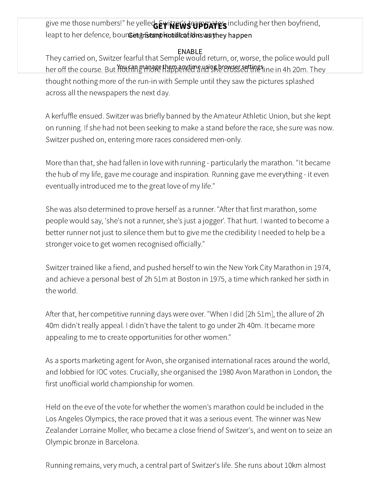give me those numbers!" he yelled Ewikier's team partes including her then boyfriend, leapt to her defence, boun Get gnstamphootifications as they happen

ENABLE<br>They carried on, Switzer fearful that Semple would return, or, worse, the police would pull her off the course. But You fang and re happen time using browser settings ine in 4h 20m. They thought nothing more of the run-in with Semple until they saw the pictures splashed across all the newspapers the next day.

A kerfuffle ensued. Switzer was briefly banned by the Amateur Athletic Union, but she kept on running. If she had not been seeking to make a stand before the race, she sure was now. Switzer pushed on, entering more races considered men-only.

More than that, she had fallen in love with running - particularly the marathon. "It became the hub of my life, gave me courage and inspiration. Running gave me everything - it even eventually introduced me to the great love of my life."

She was also determined to prove herself as a runner. "After that first marathon, some people would say, 'she's not a runner, she's just a jogger'. That hurt. I wanted to become a better runner not just to silence them but to give me the credibility I needed to help be a stronger voice to get women recognised officially."

Switzer trained like a fiend, and pushed herself to win the New York City Marathon in 1974, and achieve a personal best of 2h 51m at Boston in 1975, a time which ranked her sixth in the world.

After that, her competitive running days were over. "When I did [2h 51m], the allure of 2h 40m didn't really appeal. I didn't have the talent to go under 2h 40m. It became more appealing to me to create opportunities for other women."

As a sports marketing agent for Avon, she organised international races around the world, and lobbied for IOC votes. Crucially, she organised the 1980 Avon Marathon in London, the first unofficial world championship for women.

Held on the eve of the vote for whether the women's marathon could be included in the Los Angeles Olympics, the race proved that it was a serious event. The winner was New Zealander Lorraine Moller, who became a close friend of Switzer's, and went on to seize an Olympic bronze in Barcelona.

Running remains, very much, a central part of Switzer's life. She runs about 10km almost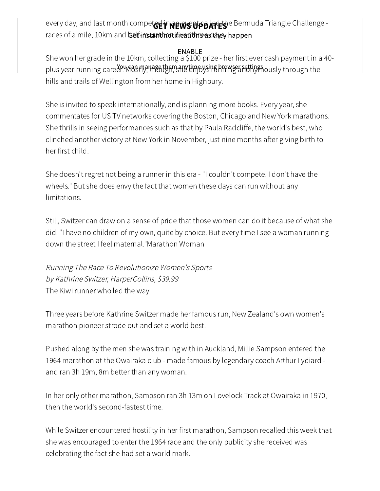every day, and last month competed in REWS UpDATES e Bermuda Triangle Challenge races of a mile, 10km and Getfinstanthotifivations as they happen

ENABLE<br>-She won her grade in the 10km, collecting a \$100 prize - her first ever cash payment in a 40 plus year running care en Mostly, though she einfoysing hrowser settings ously through the hills and trails of Wellington from her home in Highbury.

She is invited to speak internationally, and is planning more books. Every year, she commentates for US TV networks covering the Boston, Chicago and New York marathons. She thrills in seeing performances such as that by Paula Radcliffe, the world's best, who clinched another victory at New York in November, just nine months after giving birth to her first child.

She doesn't regret not being a runner in this era - "I couldn't compete. I don't have the wheels." But she does envy the fact that women these days can run without any limitations.

Still, Switzer can draw on a sense of pride that those women can do it because of what she did. "I have no children of my own, quite by choice. But every time I see a woman running down the street I feel maternal."Marathon Woman

Running The Race To Revolutionize Women's Sports by Kathrine Switzer, HarperCollins, \$39.99 The Kiwi runner who led the way

Three years before Kathrine Switzer made her famous run, New Zealand's own women's marathon pioneer strode out and set a world best.

Pushed along by the men she was training with in Auckland, Millie Sampson entered the 1964 marathon at the Owairaka club - made famous by legendary coach Arthur Lydiard and ran 3h 19m, 8m better than any woman.

In her only other marathon, Sampson ran 3h 13m on Lovelock Track at Owairaka in 1970, then the world's second-fastest time.

While Switzer encountered hostility in her first marathon, Sampson recalled this week that she was encouraged to enter the 1964 race and the only publicity she received was celebrating the fact she had set a world mark.